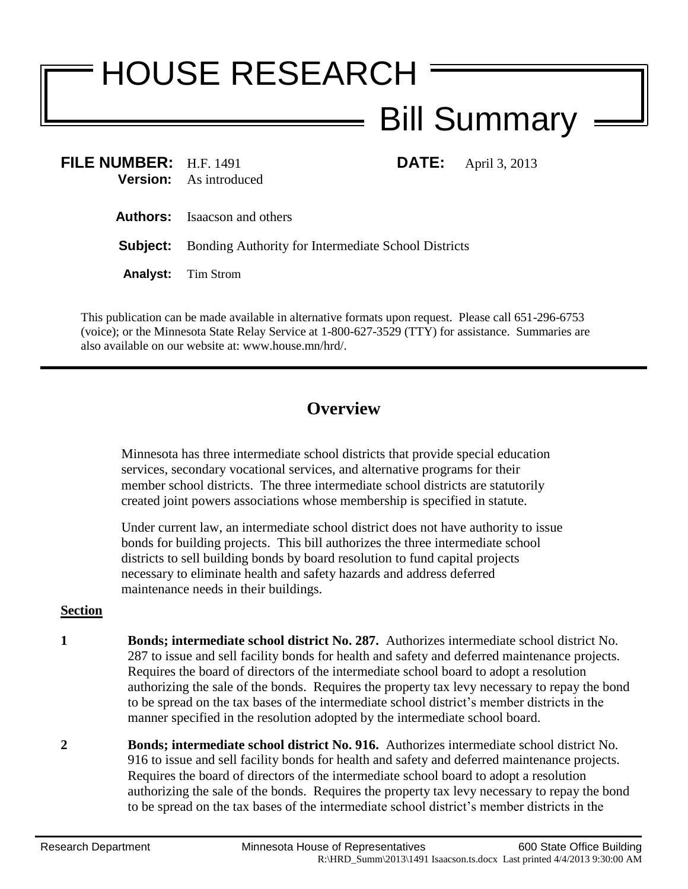## HOUSE RESEARCH Bill Summary

| FILE NUMBER: H.F. 1491 | <b>Version:</b> As introduced                                       | <b>DATE:</b> April 3, 2013 |
|------------------------|---------------------------------------------------------------------|----------------------------|
|                        | <b>Authors:</b> Isaacson and others                                 |                            |
|                        | <b>Subject:</b> Bonding Authority for Intermediate School Districts |                            |
|                        | <b>Analyst:</b> Tim Strom                                           |                            |

This publication can be made available in alternative formats upon request. Please call 651-296-6753 (voice); or the Minnesota State Relay Service at 1-800-627-3529 (TTY) for assistance. Summaries are also available on our website at: www.house.mn/hrd/.

## **Overview**

Minnesota has three intermediate school districts that provide special education services, secondary vocational services, and alternative programs for their member school districts. The three intermediate school districts are statutorily created joint powers associations whose membership is specified in statute.

Under current law, an intermediate school district does not have authority to issue bonds for building projects. This bill authorizes the three intermediate school districts to sell building bonds by board resolution to fund capital projects necessary to eliminate health and safety hazards and address deferred maintenance needs in their buildings.

## **Section**

- **1 Bonds; intermediate school district No. 287.** Authorizes intermediate school district No. 287 to issue and sell facility bonds for health and safety and deferred maintenance projects. Requires the board of directors of the intermediate school board to adopt a resolution authorizing the sale of the bonds. Requires the property tax levy necessary to repay the bond to be spread on the tax bases of the intermediate school district's member districts in the manner specified in the resolution adopted by the intermediate school board.
- **2 Bonds; intermediate school district No. 916.** Authorizes intermediate school district No. 916 to issue and sell facility bonds for health and safety and deferred maintenance projects. Requires the board of directors of the intermediate school board to adopt a resolution authorizing the sale of the bonds. Requires the property tax levy necessary to repay the bond to be spread on the tax bases of the intermediate school district's member districts in the